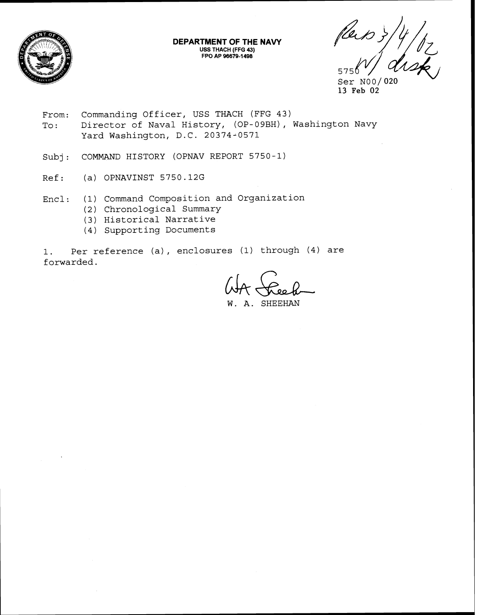

**DEPARTMENT OF THE NAVY USS THACH (FFG 43) FPO AP 96679-1498** 

575

Ser N00/020 13 **Feb 02** 

- From: Commanding Officer, USS THACH (FFG 43) To: Director of Naval History, (OP-09BH), Washington Navy Yard Washington, D.C. 20374-0571
- Subj: COMMAND HISTORY (OPNAV REPORT 5750-1)
- Ref: (a) OPNAVINST 5750.12G
- Encl: (1) Command Composition and Organization
	- (2) Chronological Summary
	- (3) Historical Narrative
	- (4) Supporting Documents

1. Per reference (a) , enclosures (1) through (4) are forwarded.

SHEEHAN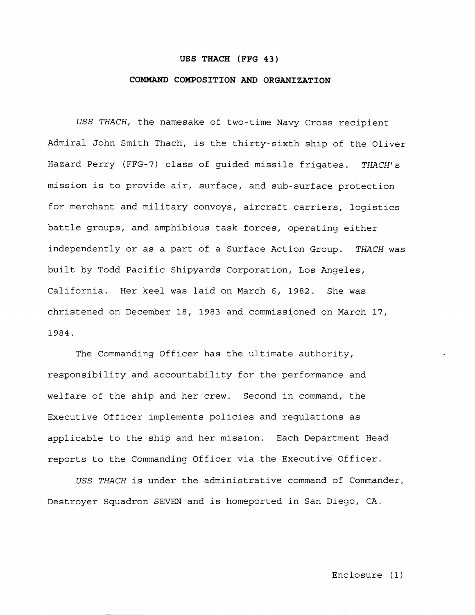#### **USS THACH (FFG 43)**

### **COMMAND COMPOSITION AND ORGANIZATION**

USS THACH, the namesake of two-time Navy Cross recipient Admiral John Smith Thach, is the thirty-sixth ship of the Oliver Hazard Perry (FFG-7) class of guided missile frigates. THACH's mission is to provide air, surface, and sub-surface protection for merchant and military convoys, aircraft carriers, logistics battle groups, and amphibious task forces, operating either independently or as a part of a Surface Action Group. THACH was built by Todd Pacific Shipyards Corporation, Los Angeles, California. Her keel was laid on March 6, 1982. She was christened on December 18, 1983 and commissioned on March 17, 1984.

The Commanding Officer has the ultimate authority, responsibility and accountability for the performance and welfare of the ship and her crew. Second in command, the Executive Officer implements policies and regulations as applicable to the ship and her mission. Each Department Head reports to the Commanding Officer via the Executive Officer.

USS THACH is under the administrative command of Commander, Destroyer Squadron SEVEN and is homeported in San Diego, CA.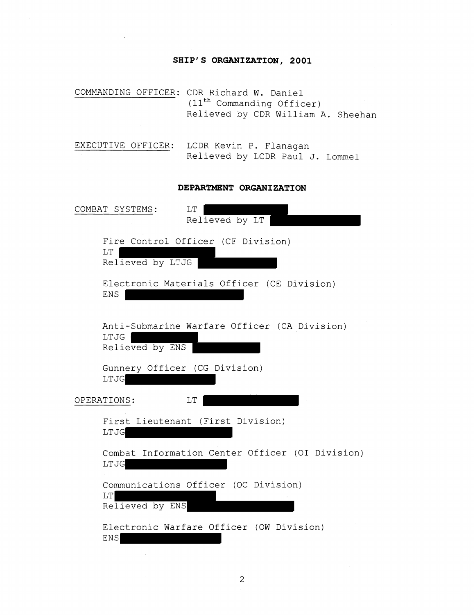# **SHIP'S ORGANIZATION, 2001**

COMMANDING OFFICER: CDR Richard W. Daniel  $(11<sup>th</sup>$  Commanding Officer) Relieved by CDR William A. Sheehan

EXECUTIVE OFFICER: LCDR Kevin P. Flanagan Relieved by LCDR Paul J. Lommel

### **DEPARTMENT ORGANIZATION**

| COMBAT SYSTEMS:<br>$\rm LT$<br>Relieved by LT                           |
|-------------------------------------------------------------------------|
| Fire Control Officer (CF Division)<br>LT<br>Relieved by LTJG            |
| Electronic Materials Officer (CE Division)<br><b>ENS</b>                |
| Anti-Submarine Warfare Officer (CA Division)<br>LTJG<br>Relieved by ENS |
| Gunnery Officer (CG Division)<br>LTJG                                   |
| LT<br>OPERATIONS:                                                       |
| First Lieutenant (First Division)<br>LTJG                               |
| Combat Information Center Officer (OI Division)<br>LTJG                 |
| Communications Officer (OC Division)<br>LT<br>Relieved by ENS           |
| Electronic Warfare Officer (OW Division)<br><b>ENS</b>                  |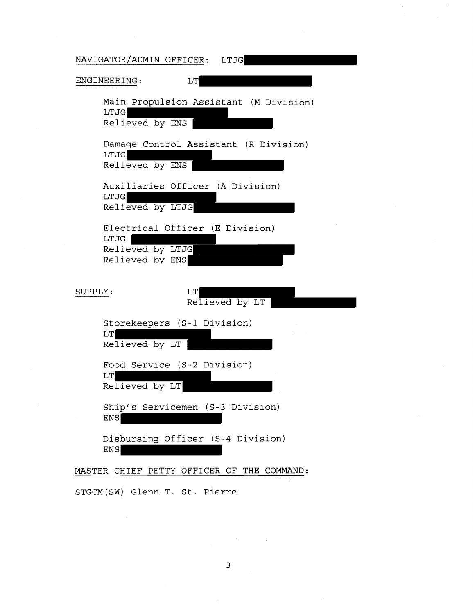| NAVIGATOR/ADMIN OFFICER:<br>LTJG                                               |
|--------------------------------------------------------------------------------|
| ENGINEERING:<br>LT                                                             |
| Main Propulsion Assistant (M Division)<br><b>LTJG</b><br>Relieved by ENS       |
| Damage Control Assistant (R Division)<br>LTJG<br>Relieved by ENS               |
| Auxiliaries Officer (A Division)<br>LTJG<br>Relieved by LTJG                   |
| Electrical Officer (E Division)<br>LTJG<br>Relieved by LTJG<br>Relieved by ENS |
| SUPPLY:<br>LT<br>Relieved by LT                                                |
| Storekeepers (S-1 Division)<br>LT<br>Relieved by LT                            |
| Food Service (S-2 Division)<br>LT<br>Relieved by LT                            |
| Ship's Servicemen (S-3 Division)<br><b>ENS</b>                                 |
| Disbursing Officer (S-4 Division)<br><b>ENS</b>                                |
| MASTER CHIEF PETTY OFFICER OF THE COMMAND:                                     |

STGCM (SW) Glenn T. St. Pierre

 $\mathcal{L}^{\text{max}}_{\text{max}}$ 

 $\sim 10^{11}$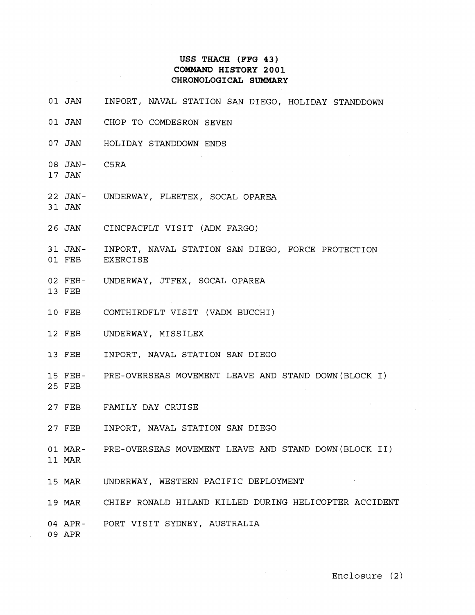## **USS THACH (FFG 43) COMMAND HISTORY 2001 CHRONOLOGICAL SUMMARY**

- 01 JAN INPORT, NAVAL STATION SAN DIEGO, HOLIDAY STANDDOWN
- 01 JAN CHOP TO COMDESRON SEVEN
- 07 JAN HOLIDAY STANDDOWN ENDS
- 08 JAN-C5RA
- 17 JAN

31 JAN

- 22 JAN-UNDERWAY, FLEETEX, SOCAL OPAREA
- 26 JAN CINCPACFLT VISIT (ADM FARGO)
- 31 JAN-01 FEB INPORT, NAVAL STATION SAN DIEGO, FORCE PROTECTION EXERCISE
- 02 FEB-UNDERWAY, JTFEX, SOCAL OPAREA
- 13 FEB
- 10 FEB COMTHIRDFLT VISIT (VADM BUCCHI)
- 12 FEB UNDERWAY, MISSILEX
- 13 FEB INPORT, NAVAL STATION SAN DIEGO
- 15 FEB-PRE-OVERSEAS MOVEMENT LEAVE AND STAND DOWN(BL0CK I)
- 25 FEB

27 FEB FAMILY DAY CRUISE

- 27 FEB INPORT, NAVAL STATION SAN DIEGO
- 01 MAR-PRE-OVERSEAS MOVEMENT LEAVE AND STAND DOWN(BL0CK 11)
- 11 MAR
- 15 MAR UNDERWAY, WESTERN PACIFIC DEPLOYMENT
- 19 MAR CHIEF RONALD HILAND KILLED DURING HELICOPTER ACCIDENT

04 APR-PORT VISIT SYDNEY, AUSTRALIA

09 APR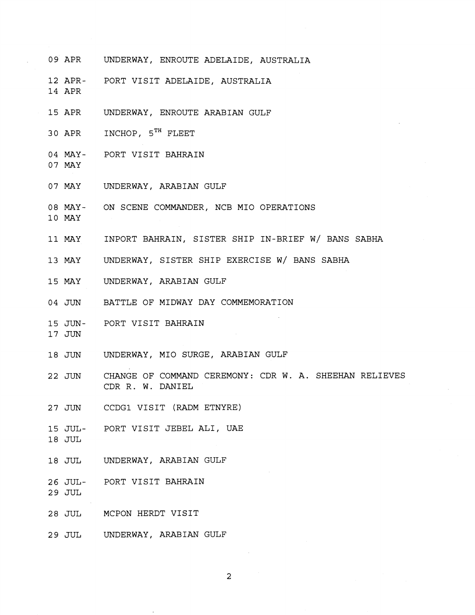- 09 APR UNDERWAY, ENROUTE ADELAIDE, AUSTRALIA
- 12 APR-PORT VISIT ADELAIDE, AUSTRALIA
- 14 APR
- 15 APR UNDERWAY, ENROUTE ARABIAN GULF
- 30 APR INCHOP, 5<sup>TH</sup> FLEET
- 04 MAY-PORT VISIT BAHRAIN
- 07 MAY
- 07 MAY UNDERWAY, ARABIAN GULF
- 08 MAY-ON SCENE COMMANDER, NCB MI0 OPERATIONS
- 10 MAY
- 11 MAY INPORT BAHRAIN, SISTER SHIP IN-BRIEF W/ BANS SABHA
- 13 MAY UNDERWAY, SISTER SHIP EXERCISE W/ BANS SABHA
- 15 MAY UNDERWAY, ARABIAN GULF
- 04 JUN BATTLE OF MIDWAY DAY COMMEMORATION
- 15 JUN-PORT VISIT BAHRAIN
- 17 JUN
- 18 JUN UNDERWAY, MI0 SURGE, ARABIAN GULF
- 22 JUN CHANGE OF COMMAND CEREMONY: CDR W. A. SHEEHAN RELIEVES CDR R. W. DANIEL
- 27 JUN CCDGl VISIT (RADM ETNYRE)
- 15 JUL-PORT VISIT JEBEL ALI, UAE
- 18 JUL
- 18 JUL UNDERWAY, ARABIAN GULF
- 26 JUL-PORT VISIT BAHRAIN
- 29 JUL
- 28 JUL MCPON HERDT VISIT
- 2 9 JUL UNDERWAY, ARABIAN GULF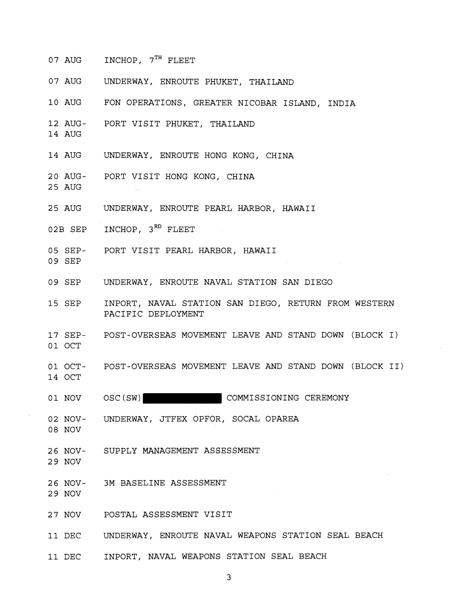- 07 AUG INCHOP,  $7<sup>TH</sup>$  FLEET
- 07 AUG UNDERWAY, ENROUTE PHUKET, THAILAND
- 10 AUG FON OPERATIONS, GREATER NICOBAR ISLAND, INDIA
- 12 AUG-PORT VISIT PHUKET, THAILAND
- 14 AUG
- 14 AUG UNDERWAY, ENROUTE HONG KONG, CHINA
- 20 AUG-PORT VISIT HONG KONG, CHINA
- 25 AUG
- 25 AUG UNDERWAY, ENROUTE PEARL HARBOR, HAWAII
- 02B SEP INCHOP, 3<sup>RD</sup> FLEET
- 05 SEP-PORT VISIT PEARL HARBOR, HAWAII
- 09 SEP
- 09 SEP UNDERWAY, ENROUTE NAVAL STATION SAN DIEGO
- 15 SEP INPORT, NAVAL STATION SAN DIEGO, RETURN FROM WESTERN PACIFIC DEPLOYMENT
- 17 SEP-01 OCT POST-OVERSEAS MOVEMENT LEAVE AND STAND DOWN (BLOCK I)
- 01 OCT-14 OCT POST-OVERSEAS MOVEMENT LEAVE AND STAND DOWN (BLOCK 11)
- 01 NOV OSC(SW) COMMISSIONING CEREMONY
- 02 NOV-08 NOV UNDERWAY, JTFEX OPFOR, SOCAL OPAREA
- 
- 26 NOV-SUPPLY MANAGEMENT ASSESSMENT
- 29 NOV
- 26 NOV-3M BASELINE ASSESSMENT
- 29 NOV
- 27 NOV POSTAL ASSESSMENT VISIT
- 11 DEC UNDERWAY, ENROUTE NAVAL WEAPONS STATION SEAL BEACH
- 11 DEC INPORT, NAVAL WEAPONS STATION SEAL BEACH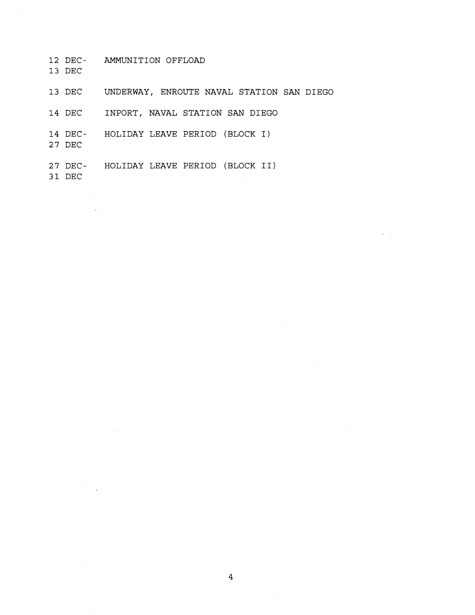- 12 DEC- AMMUNITION OFFLOAD
- 13 DEC
- 13 DEC UNDERWAY, ENROUTE NAVAL STATION SAN DIEGO
- 14 DEC INPORT, NAVAL STATION **SAN** DIEGO
- 14 DEC- HOLIDAY LEAVE PERIOD (BLOCK I)
- 27 DEC

 $\sim$ 

27 DEC- HOLIDAY LEAVE PERIOD (BLOCK 11) 31 DEC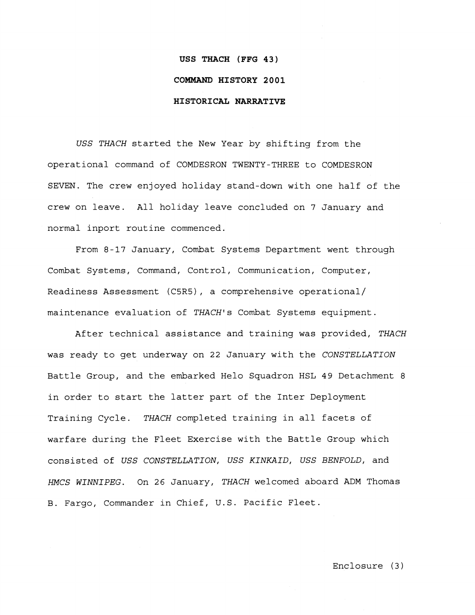### **USS THACH (FFG 43)**

### **COMMAND HI STORY 2 0 0 1**

### **HISTORICAL NARRATIVE**

USS THACH started the New Year by shifting from the operational command of COMDESRON TWENTY-THREE to COMDESRON SEVEN. The crew enjoyed holiday stand-down with one half of the crew on leave. All holiday leave concluded on 7 January and normal inport routine commenced.

From 8-17 January, Combat Systems Department went through Combat Systems, Command, Control, Communication, Computer, Readiness Assessment (C5R5), a comprehensive operational/ maintenance evaluation of THACH's Combat Systems equipment.

After technical assistance and training was provided, THACH was ready to get underway on 22 January with the CONSTELLATION Battle Group, and the embarked Helo Squadron HSL 49 Detachment 8 in order to start the latter part of the Inter Deployment Training Cycle. THACH completed training in all facets of warfare during the Fleet Exercise with the Battle Group which consisted of USS CONSTELLATION, USS KINKAID, USS BENFOLD, and HMCS WINNIPEG. On 26 January, THACH welcomed aboard ADM Thomas B. Fargo, Commander in Chief, U.S. Pacific Fleet.

Enclosure (3)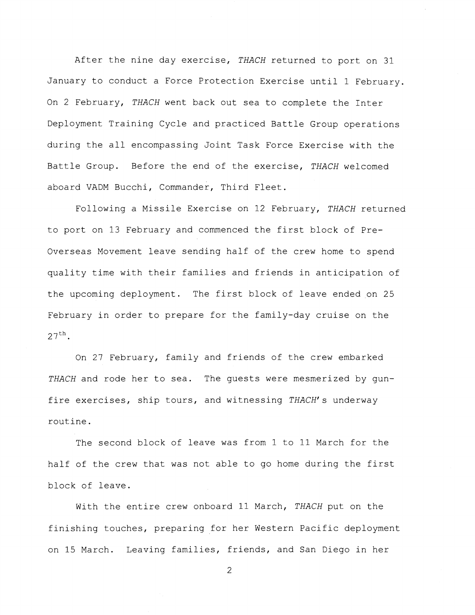After the nine day exercise, THACH returned to port on 31 January to conduct a Force Protection Exercise until 1 February. On 2 February, THACH went back out sea to complete the Inter Deployment Training Cycle and practiced Battle Group operations during the all encompassing Joint Task Force Exercise with the Battle Group. Before the end of the exercise, THACH welcomed aboard VADM Bucchi, Commander, Third Fleet.

Following a Missile Exercise on 12 February, THACH returned to port on 13 February and commenced the first block of Pre-Overseas Movement leave sending half of the crew home to spend quality time with their families and friends in anticipation of the upcoming deployment. The first block of leave ended on 25 February in order to prepare for the family-day cruise on the  $27^{\text{th}}$ .

On 27 February, family and friends of the crew embarked THACH and rode her to sea. The quests were mesmerized by gunfire exercises, ship tours, and witnessing THACH's underway routine.

The second block of leave was from 1 to 11 March for the half of the crew that was not able to go home during the first block of leave.

With the entire crew onboard 11 March, THACH put on the finishing touches, preparing for her Western Pacific deployment on 15 March. Leaving families, friends, and San Diego in her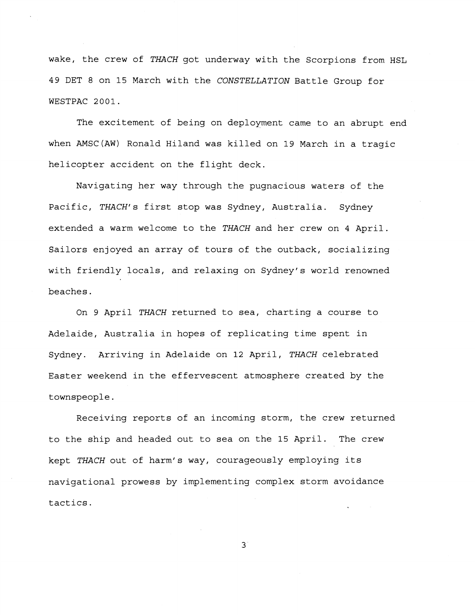wake, the crew of THACH got underway with the Scorpions from HSL 49 DET 8 on 15 March with the CONSTELLATION Battle Group for WESTPAC 2001.

The excitement of being on deployment came to an abrupt end when AMSC(AW) Ronald Hiland was killed on 19 March in a tragic helicopter accident on the flight deck.

Navigating her way through the pugnacious waters of the Pacific, THACH's first stop was Sydney, Australia. Sydney extended a warm welcome to the THACH and her crew on 4 April. Sailors enjoyed an array of tours of the outback, socializing with friendly locals, and relaxing on Sydney's world renowned beaches.

On 9 April THACH returned to sea, charting a course to Adelaide, Australia in hopes of replicating time spent in Sydney. Arriving in Adelaide on 12 April, THACH celebrated Easter weekend in the effervescent atmosphere created by the townspeople.

Receiving reports of an incoming storm, the crew returned to the ship and headed out to sea on the 15 April. The crew kept THACH out of harm's way, courageously employing its navigational prowess by implementing complex storm avoidance tactics.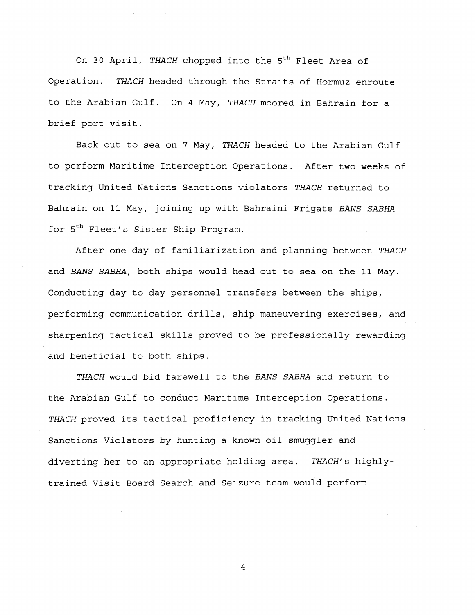On 30 April, THACH chopped into the 5<sup>th</sup> Fleet Area of Operation. THACH headed through the Straits of Hormuz enroute to the Arabian Gulf. On 4 May, THACH moored in Bahrain for a brief port visit.

Back out to sea on 7 May, THACH headed to the Arabian Gulf to perform Maritime Interception Operations. After two weeks of tracking United Nations Sanctions violators THACH returned to Bahrain on 11 May, joining up with Bahraini Frigate BANS SABHA for 5<sup>th</sup> Fleet's Sister Ship Program.

After one day of familiarization and planning between THACH and BANS SABHA, both ships would head out to sea on the 11 May. Conducting day to day personnel transfers between the ships, performing communication drills, ship maneuvering exercises, and sharpening tactical skills proved to be professionally rewarding and beneficial to both ships.

THACH would bid farewell to the BANS SABHA and return to the Arabian Gulf to conduct Maritime Interception Operations. THACH proved its tactical proficiency in tracking United Nations Sanctions Violators by hunting a known oil smuggler and diverting her to an appropriate holding area. THACH's highlytrained Visit Board Search and Seizure team would perform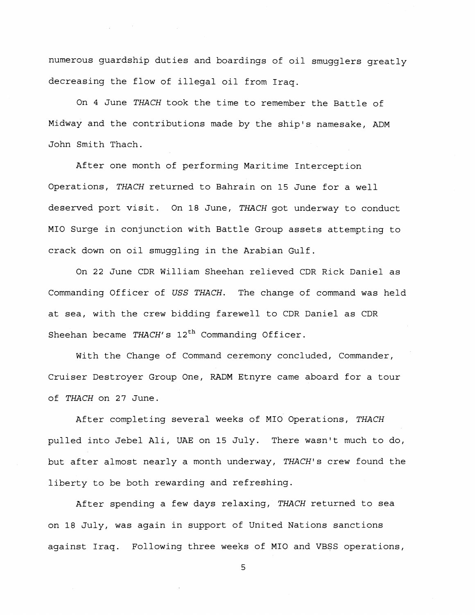numerous guardship duties and boardings of oil smugglers greatly decreasing the flow of illegal oil from Iraq.

 $\mathcal{L}_{\text{max}}$  and  $\mathcal{L}_{\text{max}}$  and  $\mathcal{L}_{\text{max}}$  and  $\mathcal{L}_{\text{max}}$ 

On 4 June THACH took the time to remember the Battle of Midway and the contributions made by the ship's namesake, ADM John Smith Thach.

After one month of performing Maritime Interception Operations, THACH returned to Bahrain on **15** June for a well deserved port visit. On **18** June, THACH got underway to conduct MI0 Surge in conjunction with Battle Group assets attempting to crack down on oil smuggling in the Arabian Gulf.

On 22 June CDR William Sheehan relieved CDR Rick Daniel as Commanding Officer of USS THACH. The change of command was held at sea, with the crew bidding farewell to CDR Daniel as CDR Sheehan became THACH's  $12<sup>th</sup>$  Commanding Officer.

With the Change of Command ceremony concluded, Commander, Cruiser Destroyer Group One, RADM Etnyre came aboard for a tour of THACH on 27 June.

After completing several weeks of MI0 Operations, THACH pulled into Jebel Ali, UAE on **15** July. There wasn't much to do, but after almost nearly a month underway, THACH's crew found the liberty to be both rewarding and refreshing.

After spending a few days relaxing, THACH returned to sea on **18** July, was again in support of United Nations sanctions against Iraq. Following three weeks of MI0 and VBSS operations,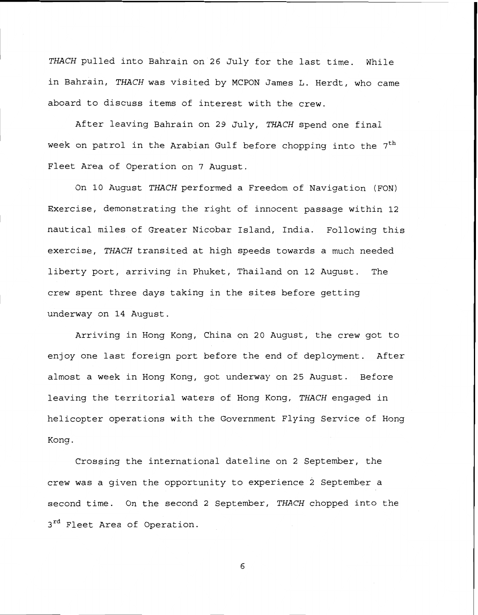*THACH* pulled into Bahrain on 26 July for the last time. While in Bahrain, *THACH* was visited by MCPON James L. Herdt, who came aboard to discuss items of interest with the crew.

After leaving Bahrain on 29 July, *THACH* spend one final week on patrol in the Arabian Gulf before chopping into the 7<sup>th</sup> Fleet Area of Operation on 7 August.

On 10 August *THACH* performed a Freedom of Navigation (FON) Exercise, demonstrating the right of innocent passage within 12 nautical miles of Greater Nicobar Island, India. Following this exercise, *THACH* transited at high speeds towards a much needed liberty port, arriving in Phuket, Thailand on 12 August. The crew spent three days taking in the sites before getting underway on 14 August.

Arriving in Hong Kong, China on 20 August, the crew got to enjoy one last foreign port before the end of deployment. After almost a week in Hong Kong, got underway on 25 August. Before leaving the territorial waters of Hong Kong, *THACH* engaged in helicopter operations with the Government Flying Service of Hong Kong .

Crossing the international dateline on 2 September, the crew was a given the opportunity to experience 2 September a second time. On the second *2* September, *THACH* chopped into the  $3^{rd}$  Fleet Area of Operation.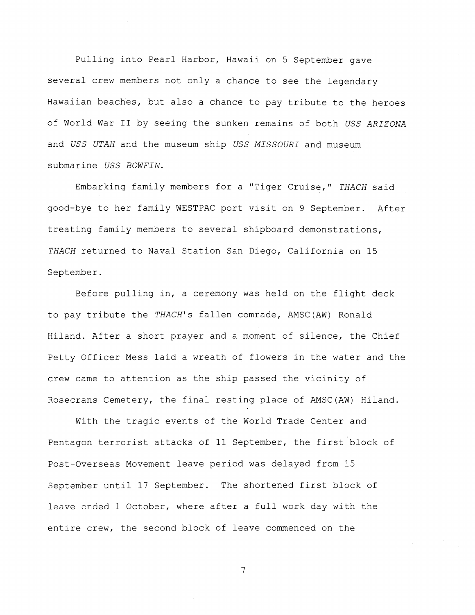Pulling into Pearl Harbor, Hawaii on 5 September gave several crew members not only a chance to see the legendary Hawaiian beaches, but also a chance to pay tribute to the heroes of World War II by seeing the sunken remains of both USS ARIZONA and USS UTAH and the museum ship USS MISSOURI and museum submarine USS BOWFIN.

Embarking family members for a "Tiger Cruise," THACH said good-bye to her family WESTPAC port visit on 9 September. After treating family members to several shipboard demonstrations, THACH returned to Naval Station San Diego, California on 15 September.

Before pulling in, a ceremony was held on the flight deck to pay tribute the THACH's fallen comrade, AMSC(AW) Ronald Hiland. After a short prayer and a moment of silence, the Chief Petty Officer Mess laid a wreath of flowers in the water and the crew came to attention as the ship passed the vicinity of Rosecrans Cemetery, the final resting place of AMSC(AW) Hiland.

With the tragic events of the World Trade Center and Pentagon terrorist attacks of 11 September, the first block of Post-Overseas Movement leave period was delayed from 15 September until 17 September. The shortened first block of leave ended 1 October, where after a full work day with the entire crew, the second block of leave commenced on the

 $\overline{7}$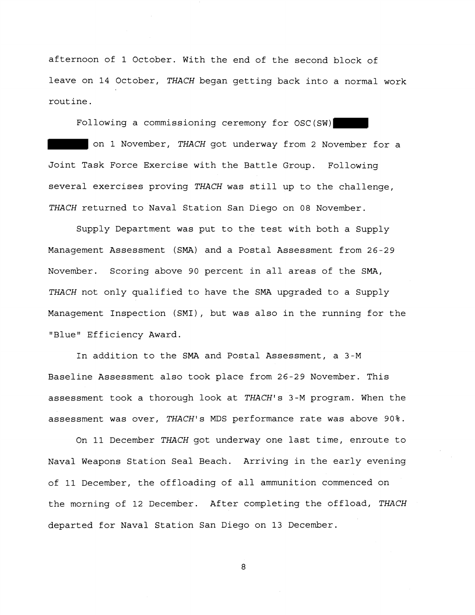afternoon of 1 October. With the end of the second block of leave on 14 October, THACH began getting back into a normal work routine.

Following a commissioning ceremony for OSC(SW) on 1 November, THACH got underway from 2 November for a Joint Task Force Exercise with the Battle Group. Following several exercises proving THACH was still up to the challenge, THACH returned to Naval Station San Diego on 08 November.

Supply Department was put to the test with both a Supply Management Assessment (SMA) and a Postal Assessment from 26-29 November. Scoring above 90 percent in all areas of the SMA, THACH not only qualified to have the SMA upgraded to a Supply Management Inspection (SMI), but was also in the running for the "Blue" Efficiency Award.

In addition to the SMA and Postal Assessment, a 3-M Baseline Assessment also took place from 26-29 November. This assessment took a thorough look at THACH's 3-M program. When the assessment was over, THACH's MDS performance rate was above 90%.

On 11 December THACH got underway one last time, enroute to Naval Weapons Station Seal Beach. Arriving in the early evening of 11 December, the offloading of all ammunition commenced on the morning of 12 December. After completing the offload, THACH departed for Naval Station San Diego on 13 December.